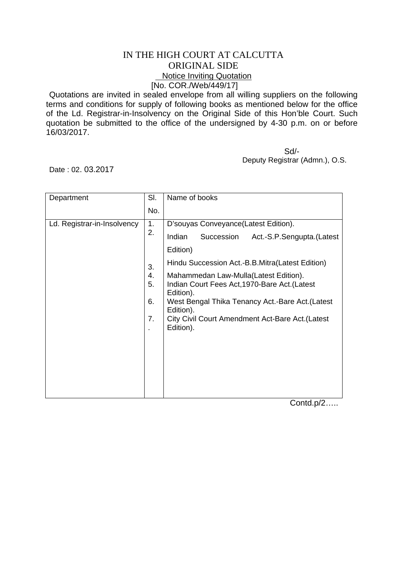## IN THE HIGH COURT AT CALCUTTA ORIGINAL SIDE Notice Inviting Quotation [No. COR./Web/449/17]

Quotations are invited in sealed envelope from all willing suppliers on the following terms and conditions for supply of following books as mentioned below for the office of the Ld. Registrar-in-Insolvency on the Original Side of this Hon'ble Court. Such quotation be submitted to the office of the undersigned by 4-30 p.m. on or before 16/03/2017.

 Sd/- Deputy Registrar (Admn.), O.S.

Date : 02. 03.2017

| Department                  | SI.                  | Name of books                                                                                                                                                                                                                          |
|-----------------------------|----------------------|----------------------------------------------------------------------------------------------------------------------------------------------------------------------------------------------------------------------------------------|
|                             | No.                  |                                                                                                                                                                                                                                        |
| Ld. Registrar-in-Insolvency | 1.<br>2.             | D'souyas Conveyance(Latest Edition).                                                                                                                                                                                                   |
|                             |                      | Indian<br>Succession<br>Act.-S.P.Sengupta.(Latest                                                                                                                                                                                      |
|                             |                      | Edition)                                                                                                                                                                                                                               |
|                             | 3.                   | Hindu Succession Act.-B.B.Mitra(Latest Edition)                                                                                                                                                                                        |
|                             | 4.<br>5.<br>6.<br>7. | Mahammedan Law-Mulla (Latest Edition).<br>Indian Court Fees Act, 1970-Bare Act. (Latest<br>Edition).<br>West Bengal Thika Tenancy Act.-Bare Act. (Latest<br>Edition).<br>City Civil Court Amendment Act-Bare Act. (Latest<br>Edition). |

Contd.p/2…..